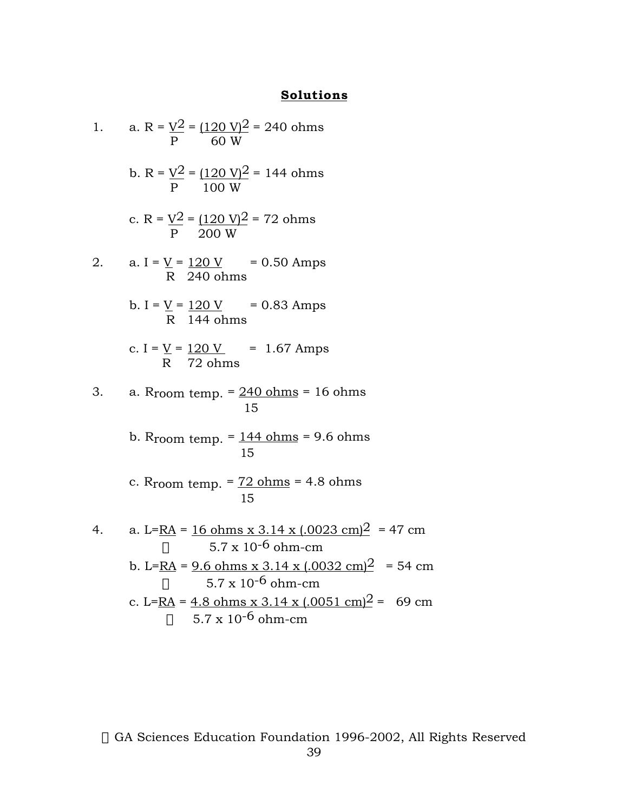## **Solutions**

| 1. | a. R = $\frac{V^2}{P}$ = $\frac{(120 V)^2}{60 W}$ = 240 ohms                                                                                |  |
|----|---------------------------------------------------------------------------------------------------------------------------------------------|--|
|    | b. R = $\frac{V^2}{P}$ = $\frac{(120 V)^2}{100 W}$ = 144 ohms                                                                               |  |
|    | c. R = $\frac{V^2}{P} = \frac{(120 V)^2}{200 W} = 72 ohms$                                                                                  |  |
| 2. | a. I = $\underline{V}$ = $\underline{120 V}$ = 0.50 Amps<br>R 240 ohms                                                                      |  |
|    | b. I = $\underline{V}$ = $\underline{120 V}$ = 0.83 Amps<br>R 144 ohms                                                                      |  |
|    | c. I = $\underline{V}$ = 120 V = 1.67 Amps<br>R 72 ohms                                                                                     |  |
| 3. | a. R <sub>room temp.</sub> $= 240$ ohms $= 16$ ohms<br>15                                                                                   |  |
|    | b. Rroom temp. $=$ 144 ohms $=$ 9.6 ohms<br>15                                                                                              |  |
|    | c. Rroom temp. $= 72$ ohms $= 4.8$ ohms<br>15                                                                                               |  |
| 4. | a. L= <u>RA</u> = $\frac{16 \text{ ohms} \times 3.14 \times (0.0023 \text{ cm})^2}{47 \text{ cm}}$<br>$5.7 \times 10^{-6}$ ohm-cm<br>$\rho$ |  |
|    | b. L=RA = $9.6$ ohms x 3.14 x (.0032 cm) <sup>2</sup> = 54 cm<br>$5.7 \times 10^{-6}$ ohm-cm<br>$\mathsf{\Omega}$                           |  |
|    | c. L=RA = $4.8$ ohms x 3.14 x (.0051 cm) <sup>2</sup> = 69 cm                                                                               |  |
|    | $\rho$ 5.7 x 10 <sup>-6</sup> ohm-cm                                                                                                        |  |

© GA Sciences Education Foundation 1996-2002, All Rights Reserved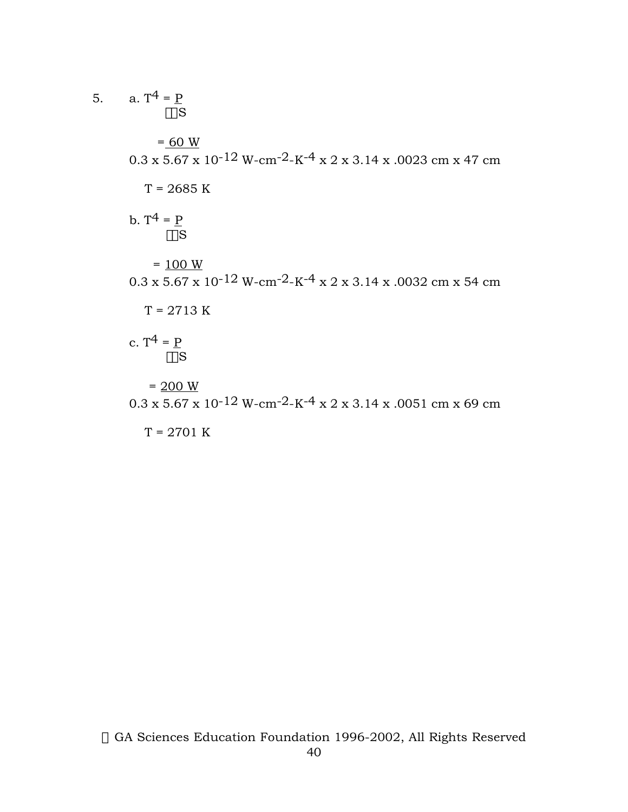5.   
\na. 
$$
T^4 = P
$$
  
\n $_{\text{EoS}}$   
\n $= \frac{60 \text{ W}}{200 \text{ W}}}$   
\n $0.3 \text{ x } 5.67 \text{ x } 10^{-12} \text{ W-cm-2-K-4 x } 2 \text{ x } 3.14 \text{ x } .0023 \text{ cm} \text{ x } 47 \text{ cm}$   
\n $T = 2685 \text{ K}$   
\nb.  $T^4 = P$   
\n $= \frac{100 \text{ W}}{60 \text{ S}}$   
\n $= \frac{100 \text{ W}}{T} = 2713 \text{ K}$   
\nc.  $T^4 = P$   
\n $= \frac{200 \text{ W}}{60 \text{ S}}$   
\n $= \frac{200 \text{ W}}{T} = 2701 \text{ K}$   
\n $T = 2701 \text{ K}$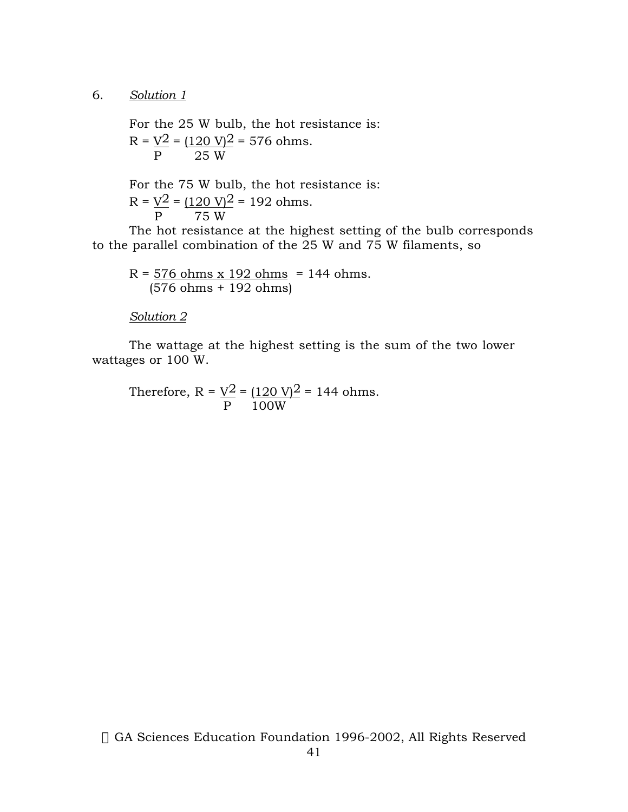## 6. *Solution 1*

For the 25 W bulb, the hot resistance is:  $R = V^2 = (120 V)^2 = 576 ohms.$ P 25 W

For the 75 W bulb, the hot resistance is:  $R = V^2 = (120 V)^2 = 192$  ohms.<br>P 75 W 75 W

The hot resistance at the highest setting of the bulb corresponds to the parallel combination of the 25 W and 75 W filaments, so

 $R = 576$  ohms x 192 ohms = 144 ohms. (576 ohms + 192 ohms)

*Solution 2*

The wattage at the highest setting is the sum of the two lower wattages or 100 W.

Therefore, R =  $\underline{V^2}$  =  $(120 \text{ V})^2$  = 144 ohms. P 100W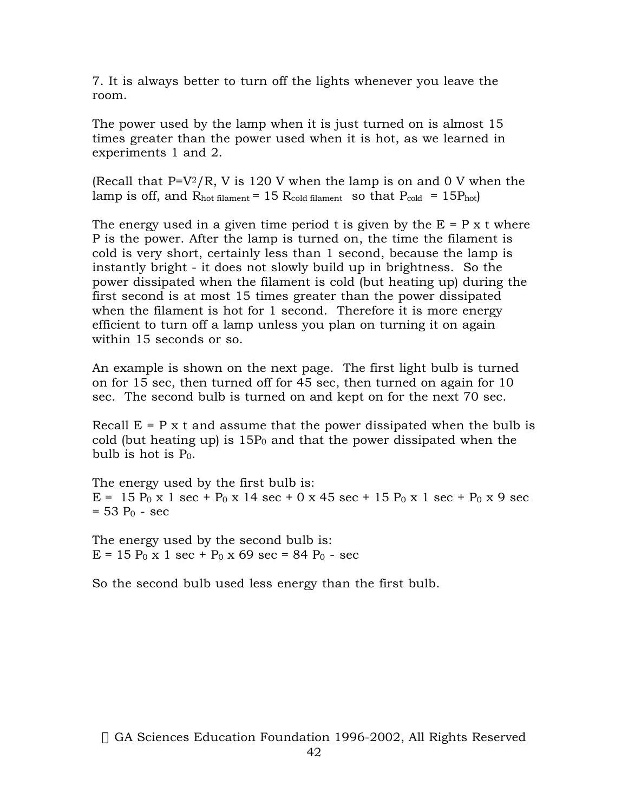7. It is always better to turn off the lights whenever you leave the room.

The power used by the lamp when it is just turned on is almost 15 times greater than the power used when it is hot, as we learned in experiments 1 and 2.

(Recall that  $P=V^2/R$ , V is 120 V when the lamp is on and 0 V when the lamp is off, and  $R_{hot}$  filament = 15  $R_{cold}$  filament so that  $P_{cold}$  = 15 $P_{hot}$ )

The energy used in a given time period t is given by the  $E = P x t$  where P is the power. After the lamp is turned on, the time the filament is cold is very short, certainly less than 1 second, because the lamp is instantly bright - it does not slowly build up in brightness. So the power dissipated when the filament is cold (but heating up) during the first second is at most 15 times greater than the power dissipated when the filament is hot for 1 second. Therefore it is more energy efficient to turn off a lamp unless you plan on turning it on again within 15 seconds or so.

An example is shown on the next page. The first light bulb is turned on for 15 sec, then turned off for 45 sec, then turned on again for 10 sec. The second bulb is turned on and kept on for the next 70 sec.

Recall  $E = P x t$  and assume that the power dissipated when the bulb is cold (but heating up) is  $15P_0$  and that the power dissipated when the bulb is hot is  $P_0$ .

The energy used by the first bulb is:  $E = 15 P_0 x 1 sec + P_0 x 14 sec + 0 x 45 sec + 15 P_0 x 1 sec + P_0 x 9 sec$  $= 53 P_0 - sec$ 

The energy used by the second bulb is:  $E = 15 P_0 x 1 sec + P_0 x 69 sec = 84 P_0 - sec$ 

So the second bulb used less energy than the first bulb.